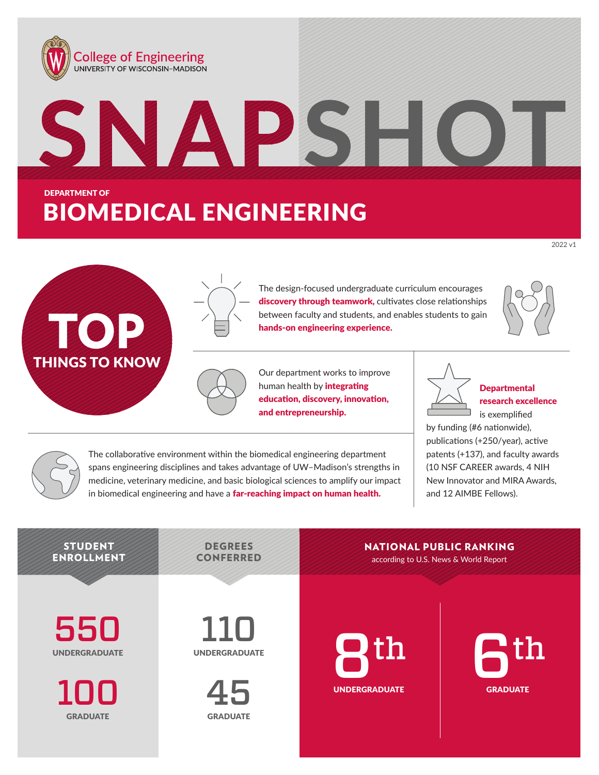





The design-focused undergraduate curriculum encourages discovery through teamwork, cultivates close relationships between faculty and students, and enables students to gain hands-on engineering experience.



2022 v1

Our department works to improve human health by *integrating* education, discovery, innovation, and entrepreneurship.

## **Departmental** research excellence

is exemplified by funding (#6 nationwide), publications (+250/year), active patents (+137), and faculty awards (10 NSF CAREER awards, 4 NIH New Innovator and MIRA Awards,

and 12 AIMBE Fellows).

The collaborative environment within the biomedical engineering department spans engineering disciplines and takes advantage of UW–Madison's strengths in medicine, veterinary medicine, and basic biological sciences to amplify our impact in biomedical engineering and have a far-reaching impact on human health.

according to U.S. News & World Report NATIONAL PUBLIC RANKING **6**<br>GRADU **GRADUATE Septy Strange Stranger Stranger Strangers Strangers Strangers Strangers Strangers** UNDERGRADUATE th STUDENT ENROLLMENT DEGREES CONFERRED 110 **UNDERGRADUATE** 550 **UNDERGRADUATE** 45 **GRADUATE** 100 **GRADUATE**